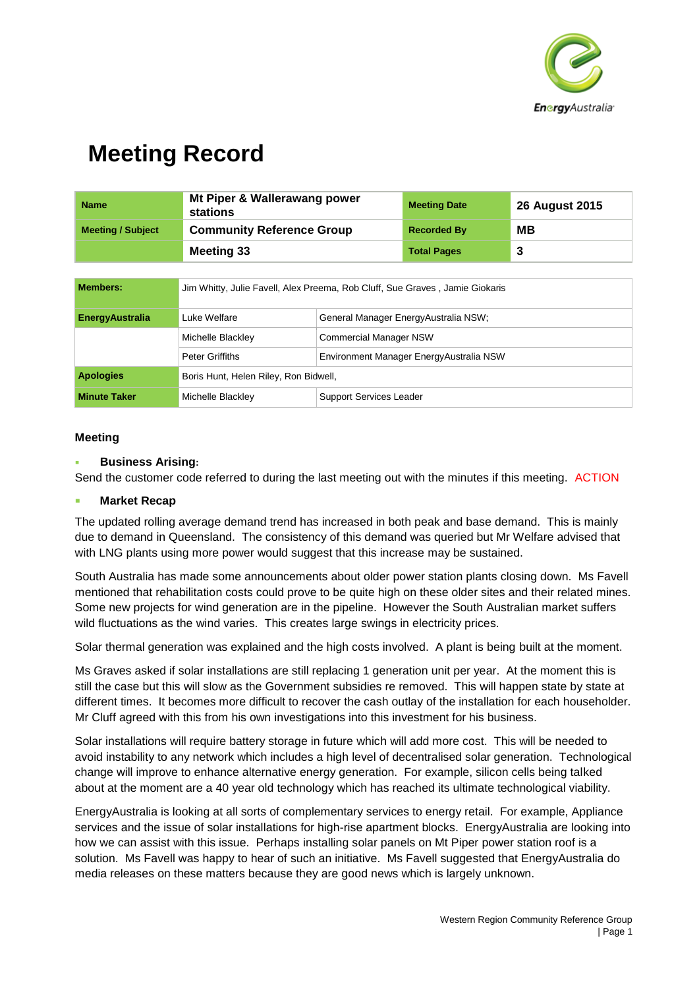

| <b>Name</b>              | Mt Piper & Wallerawang power<br>stations                                     |                                      | <b>Meeting Date</b> | <b>26 August 2015</b> |
|--------------------------|------------------------------------------------------------------------------|--------------------------------------|---------------------|-----------------------|
| <b>Meeting / Subject</b> | <b>Community Reference Group</b>                                             |                                      | <b>Recorded By</b>  | MВ                    |
|                          | <b>Meeting 33</b>                                                            |                                      | <b>Total Pages</b>  | 3                     |
|                          |                                                                              |                                      |                     |                       |
| <b>Members:</b>          | Jim Whitty, Julie Favell, Alex Preema, Rob Cluff, Sue Graves, Jamie Giokaris |                                      |                     |                       |
| <b>EnergyAustralia</b>   | Luke Welfare                                                                 | General Manager EnergyAustralia NSW; |                     |                       |
|                          | Michalle Dlookley                                                            | Commorsial Monoger NCW               |                     |                       |

|                     | Michelle Blackley                     | <b>Commercial Manager NSW</b>            |  |
|---------------------|---------------------------------------|------------------------------------------|--|
|                     | <b>Peter Griffiths</b>                | Environment Manager Energy Australia NSW |  |
| <b>Apologies</b>    | Boris Hunt, Helen Riley, Ron Bidwell, |                                          |  |
| <b>Minute Taker</b> | Michelle Blackley                     | Support Services Leader                  |  |

### **Meeting**

### **Business Arising:**

Send the customer code referred to during the last meeting out with the minutes if this meeting. ACTION

#### **Market Recap**

The updated rolling average demand trend has increased in both peak and base demand. This is mainly due to demand in Queensland. The consistency of this demand was queried but Mr Welfare advised that with LNG plants using more power would suggest that this increase may be sustained.

South Australia has made some announcements about older power station plants closing down. Ms Favell mentioned that rehabilitation costs could prove to be quite high on these older sites and their related mines. Some new projects for wind generation are in the pipeline. However the South Australian market suffers wild fluctuations as the wind varies. This creates large swings in electricity prices.

Solar thermal generation was explained and the high costs involved. A plant is being built at the moment.

Ms Graves asked if solar installations are still replacing 1 generation unit per year. At the moment this is still the case but this will slow as the Government subsidies re removed. This will happen state by state at different times. It becomes more difficult to recover the cash outlay of the installation for each householder. Mr Cluff agreed with this from his own investigations into this investment for his business.

Solar installations will require battery storage in future which will add more cost. This will be needed to avoid instability to any network which includes a high level of decentralised solar generation. Technological change will improve to enhance alternative energy generation. For example, silicon cells being talked about at the moment are a 40 year old technology which has reached its ultimate technological viability.

EnergyAustralia is looking at all sorts of complementary services to energy retail. For example, Appliance services and the issue of solar installations for high-rise apartment blocks. EnergyAustralia are looking into how we can assist with this issue. Perhaps installing solar panels on Mt Piper power station roof is a solution. Ms Favell was happy to hear of such an initiative. Ms Favell suggested that EnergyAustralia do media releases on these matters because they are good news which is largely unknown.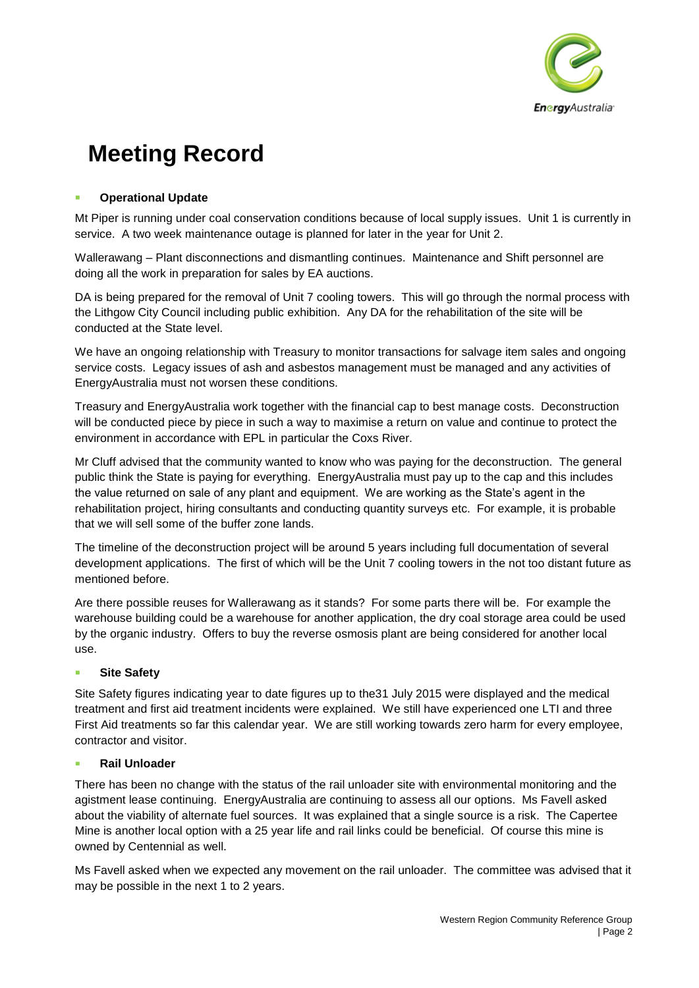

## **Operational Update**

Mt Piper is running under coal conservation conditions because of local supply issues. Unit 1 is currently in service. A two week maintenance outage is planned for later in the year for Unit 2.

Wallerawang – Plant disconnections and dismantling continues. Maintenance and Shift personnel are doing all the work in preparation for sales by EA auctions.

DA is being prepared for the removal of Unit 7 cooling towers. This will go through the normal process with the Lithgow City Council including public exhibition. Any DA for the rehabilitation of the site will be conducted at the State level.

We have an ongoing relationship with Treasury to monitor transactions for salvage item sales and ongoing service costs. Legacy issues of ash and asbestos management must be managed and any activities of EnergyAustralia must not worsen these conditions.

Treasury and EnergyAustralia work together with the financial cap to best manage costs. Deconstruction will be conducted piece by piece in such a way to maximise a return on value and continue to protect the environment in accordance with EPL in particular the Coxs River.

Mr Cluff advised that the community wanted to know who was paying for the deconstruction. The general public think the State is paying for everything. EnergyAustralia must pay up to the cap and this includes the value returned on sale of any plant and equipment. We are working as the State's agent in the rehabilitation project, hiring consultants and conducting quantity surveys etc. For example, it is probable that we will sell some of the buffer zone lands.

The timeline of the deconstruction project will be around 5 years including full documentation of several development applications. The first of which will be the Unit 7 cooling towers in the not too distant future as mentioned before.

Are there possible reuses for Wallerawang as it stands? For some parts there will be. For example the warehouse building could be a warehouse for another application, the dry coal storage area could be used by the organic industry. Offers to buy the reverse osmosis plant are being considered for another local use.

### **Site Safety**

Site Safety figures indicating year to date figures up to the31 July 2015 were displayed and the medical treatment and first aid treatment incidents were explained. We still have experienced one LTI and three First Aid treatments so far this calendar year. We are still working towards zero harm for every employee, contractor and visitor.

### **Rail Unloader**

There has been no change with the status of the rail unloader site with environmental monitoring and the agistment lease continuing. EnergyAustralia are continuing to assess all our options. Ms Favell asked about the viability of alternate fuel sources. It was explained that a single source is a risk. The Capertee Mine is another local option with a 25 year life and rail links could be beneficial. Of course this mine is owned by Centennial as well.

Ms Favell asked when we expected any movement on the rail unloader. The committee was advised that it may be possible in the next 1 to 2 years.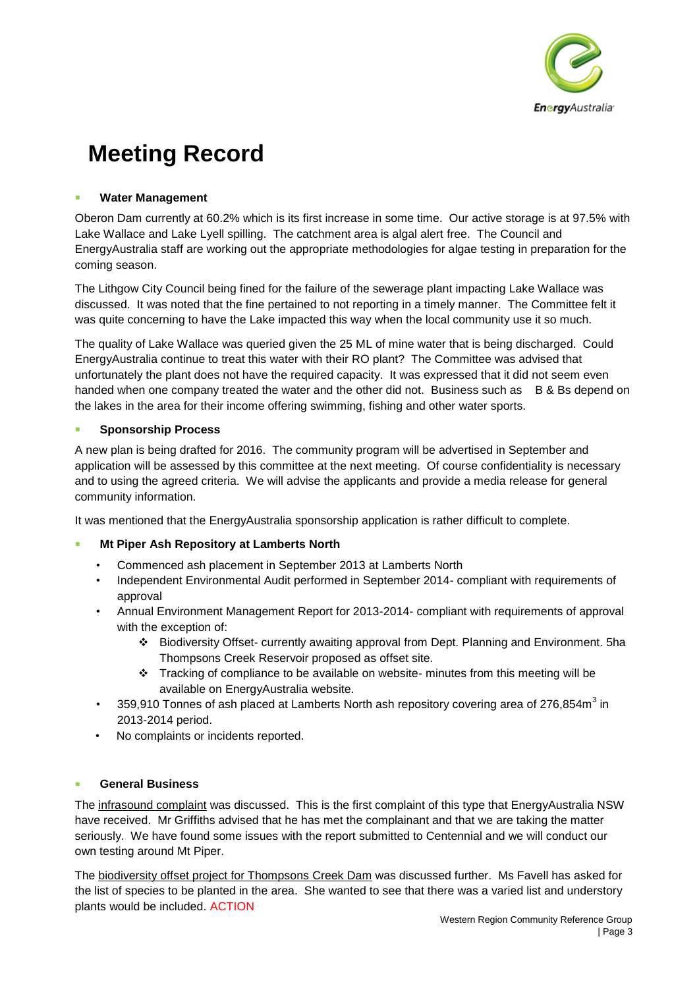

### **Water Management**

Oberon Dam currently at 60.2% which is its first increase in some time. Our active storage is at 97.5% with Lake Wallace and Lake Lyell spilling. The catchment area is algal alert free. The Council and EnergyAustralia staff are working out the appropriate methodologies for algae testing in preparation for the coming season.

The Lithgow City Council being fined for the failure of the sewerage plant impacting Lake Wallace was discussed. It was noted that the fine pertained to not reporting in a timely manner. The Committee felt it was quite concerning to have the Lake impacted this way when the local community use it so much.

The quality of Lake Wallace was queried given the 25 ML of mine water that is being discharged. Could EnergyAustralia continue to treat this water with their RO plant? The Committee was advised that unfortunately the plant does not have the required capacity. It was expressed that it did not seem even handed when one company treated the water and the other did not. Business such as B & Bs depend on the lakes in the area for their income offering swimming, fishing and other water sports.

### **Sponsorship Process**

A new plan is being drafted for 2016. The community program will be advertised in September and application will be assessed by this committee at the next meeting. Of course confidentiality is necessary and to using the agreed criteria. We will advise the applicants and provide a media release for general community information.

It was mentioned that the EnergyAustralia sponsorship application is rather difficult to complete.

## **Mt Piper Ash Repository at Lamberts North**

- Commenced ash placement in September 2013 at Lamberts North
- Independent Environmental Audit performed in September 2014- compliant with requirements of approval
- Annual Environment Management Report for 2013-2014- compliant with requirements of approval with the exception of:
	- Biodiversity Offset- currently awaiting approval from Dept. Planning and Environment. 5ha Thompsons Creek Reservoir proposed as offset site.
	- \* Tracking of compliance to be available on website- minutes from this meeting will be available on EnergyAustralia website.
- 359,910 Tonnes of ash placed at Lamberts North ash repository covering area of 276,854m<sup>3</sup> in 2013-2014 period.
- No complaints or incidents reported.

### **General Business**

The infrasound complaint was discussed. This is the first complaint of this type that EnergyAustralia NSW have received. Mr Griffiths advised that he has met the complainant and that we are taking the matter seriously. We have found some issues with the report submitted to Centennial and we will conduct our own testing around Mt Piper.

The biodiversity offset project for Thompsons Creek Dam was discussed further. Ms Favell has asked for the list of species to be planted in the area. She wanted to see that there was a varied list and understory plants would be included. ACTION